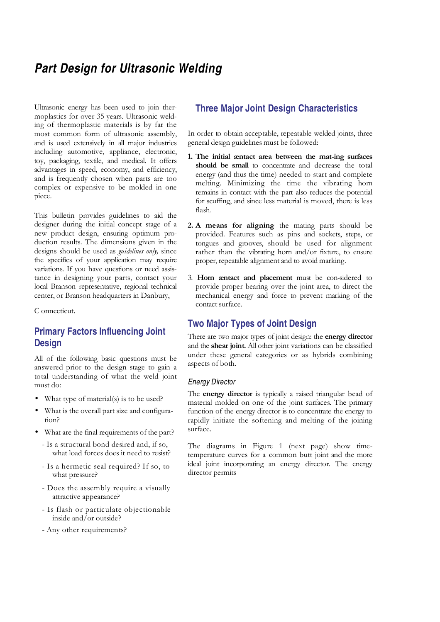# **Part Design for Ultrasonic Welding**

Ultrasonic energy has been used to join thermoplastics for over 35 years. Ultrasonic welding of thermoplastic materials is by far the most common form of ultrasonic assembly, and is used extensively in all major industries including automotive, appliance, electronic, toy, packaging, textile, and medical. It offers advantages in speed, economy, and efficiency, and is frequently chosen when parts are too complex or expensive to be molded in one piece.

This bulletin provides guidelines to aid the designer during the initial concept stage of a new product design, ensuring optimum production results. The dimensions given in the designs should be used as *guidelines only*, since the specifics of your application may require variations. If you have questions or need assistance in designing your parts, contact your local Branson representative, regional technical center, or Branson headquarters in Danbury,

C onnecticut.

# **Primary Factors Influencing Joint Design**

All of the following basic questions must be answered prior to the design stage to gain a total understanding of what the weld joint must do:

- What type of material(s) is to be used?
- What is the overall part size and configuration?
- What are the final requirements of the part?
	- Is a structural bond desired and, if so, what load forces does it need to resist?
	- Is a hermetic seal required? If so, to what pressure?
	- Does the assembly require a visually attractive appearance?
	- Is flash or particulate objectionable inside and/or outside?
	- Any other requirements?

# **Three Major Joint Design Characteristics**

In order to obtain acceptable, repeatable welded joints, three general design guidelines must be followed:

- 1. The initial æntact area between the mat-ing surfaces should be small to concentrate and decrease the total energy (and thus the time) needed to start and complete melting. Minimizing the time the vibrating horn remains in contact with the part also reduces the potential for scuffing, and since less material is moved, there is less flash.
- 2. A means for aligning the mating parts should be provided. Features such as pins and sockets, steps, or tongues and grooves, should be used for alignment rather than the vibrating horn and/or fixture, to ensure proper, repeatable alignment and to avoid marking.
- 3. Horn æntact and placement must be con-sidered to provide proper bearing over the joint area, to direct the mechanical energy and force to prevent marking of the contact surface.

# **Two Major Types of Joint Design**

There are two major types of joint design: the **energy director** and the shear joint. All other joint variations can be classified under these general categories or as hybrids combining aspects of both.

## Energy Director

The **energy director** is typically a raised triangular bead of material molded on one of the joint surfaces. The primary function of the energy director is to concentrate the energy to rapidly initiate the softening and melting of the joining surface.

The diagrams in Figure 1 (next page) show timetemperature curves for a common butt joint and the more ideal joint incorporating an energy director. The energy director permits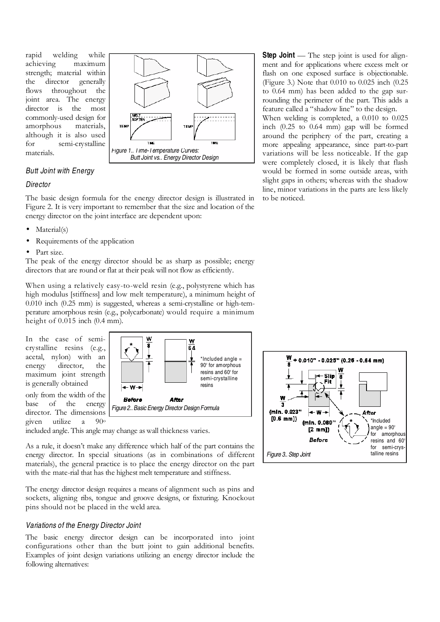rapid welding while achieving maximum strength; material within the director generally flows throughout the joint area. The energy director is the most commonly-used design for amorphous materials, although it is also used for semi-crystalline materials.



## Butt Joint with Energy

#### **Director**

The basic design formula for the energy director design is illustrated in Figure 2. It is very important to remember that the size and location of the energy director on the joint interface are dependent upon:

- Material(s)
- Requirements of the application
- Part size.

The peak of the energy director should be as sharp as possible; energy directors that are round or flat at their peak will not flow as efficiently.

When using a relatively easy-to-weld resin (e.g., polystyrene which has high modulus [stiffness] and low melt temperature), a minimum height of 0.010 inch (0.25 mm) is suggested, whereas a semi-crystalline or high-temperature amorphous resin (e.g., polycarbonate) would require a minimum height of  $0.015$  inch  $(0.4$  mm).

In the case of semicrystalline resins (e.g., acetal, nylon) with an energy director, the maximum joint strength is generally obtained only from the width of the base of the energy director. The dimensions given utilize a 90<sup>o</sup>



included angle. This angle may change as wall thickness varies.

As a rule, it doesn't make any difference which half of the part contains the energy director. In special situations (as in combinations of different materials), the general practice is to place the energy director on the part with the mate-rial that has the highest melt temperature and stiffness.

The energy director design requires a means of alignment such as pins and sockets, aligning ribs, tongue and groove designs, or fixturing. Knockout pins should not be placed in the weld area.

### Variations of the Energy Director Joint

The basic energy director design can be incorporated into joint configurations other than the butt joint to gain additional benefits. Examples of joint design variations utilizing an energy director include the following alternatives:

**Step Joint** — The step joint is used for alignment and for applications where excess melt or flash on one exposed surface is objectionable. (Figure 3.) Note that 0.010 to 0.025 inch (0.25 to 0.64 mm) has been added to the gap surrounding the perimeter of the part. This adds a feature called a "shadow line" to the design. When welding is completed, a 0.010 to 0.025 inch (0.25 to 0.64 mm) gap will be formed around the periphery of the part, creating a more appealing appearance, since part-to-part variations will be less noticeable. If the gap were completely closed, it is likely that flash would be formed in some outside areas, with slight gaps in others; whereas with the shadow line, minor variations in the parts are less likely to be noticed.

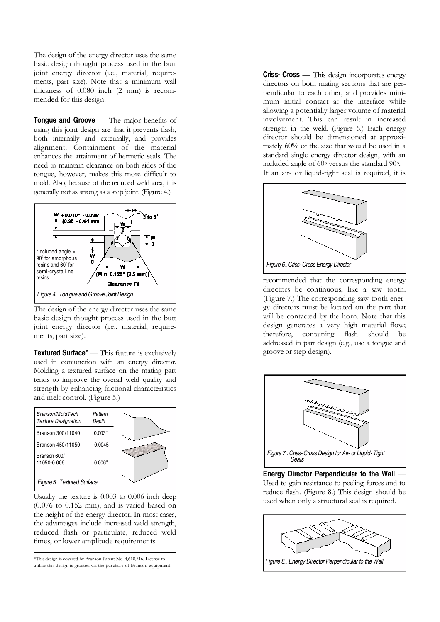The design of the energy director uses the same basic design thought process used in the butt joint energy director (i.e., material, requirements, part size). Note that a minimum wall thickness of 0.080 inch (2 mm) is recommended for this design.

**Tongue and Groove** — The major benefits of using this joint design are that it prevents flash, both internally and externally, and provides alignment. Containment of the material enhances the attainment of hermetic seals. The need to maintain clearance on both sides of the tongue, however, makes this more difficult to mold. Also, because of the reduced weld area, it is generally not as strong as a step joint. (Figure 4.)



The design of the energy director uses the same basic design thought process used in the butt joint energy director (i.e., material, requirements, part size).

**Textured Surface**\* — This feature is exclusively used in conjunction with an energy director. Molding a textured surface on the mating part tends to improve the overall weld quality and strength by enhancing frictional characteristics and melt control. (Figure 5.)



Usually the texture is 0.003 to 0.006 inch deep (0.076 to 0.152 mm), and is varied based on the height of the energy director. In most cases, the advantages include increased weld strength, reduced flash or particulate, reduced weld times, or lower amplitude requirements.

\*This design is covered by Branson Patent No. 4,618,516. License to utilize this design is granted via the purchase of Branson equipment. **Criss- Cross** — This design incorporates energy directors on both mating sections that are perpendicular to each other, and provides minimum initial contact at the interface while allowing a potentially larger volume of material involvement. This can result in increased strength in the weld. (Figure 6.) Each energy director should be dimensioned at approximately 60% of the size that would be used in a standard single energy director design, with an included angle of 60o versus the standard 90o.

If an air- or liquid-tight seal is required, it is



recommended that the corresponding energy directors be continuous, like a saw tooth. (Figure 7.) The corresponding saw-tooth energy directors must be located on the part that will be contacted by the horn. Note that this design generates a very high material flow; therefore, containing flash should be addressed in part design (e.g., use a tongue and groove or step design).



**Energy Director Perpendicular to the Wall** — Used to gain resistance to peeling forces and to reduce flash. (Figure 8.) This design should be used when only a structural seal is required.

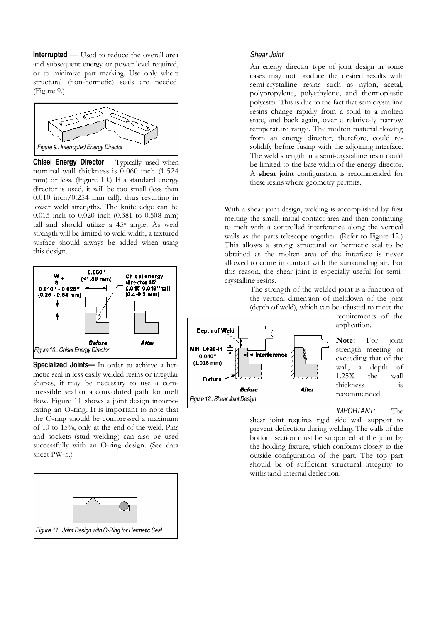**Interrupted** — Used to reduce the overall area and subsequent energy or power level required. or to minimize part marking. Use only where structural (non-hermetic) seals are needed. (Figure 9.)



**Chisel Energy Director** — Typically used when nominal wall thickness is 0.060 inch (1.524 mm) or less. (Figure 10.) If a standard energy director is used, it will be too small (less than 0.010 inch/0.254 mm tall), thus resulting in lower weld strengths. The knife edge can be 0.015 inch to 0.020 inch (0.381 to 0.508 mm) tall and should utilize a 45<sup>o</sup> angle. As weld strength will be limited to weld width, a textured surface should always be added when using this design.



**Specialized Joints—** In order to achieve a hermetic seal in less easily welded resins or irregular shapes, it may be necessary to use a compressible seal or a convoluted path for melt flow. Figure 11 shows a joint design incorporating an O-ring. It is important to note that the O-ring should be compressed a maximum of 10 to 15%, only at the end of the weld. Pins and sockets (stud welding) can also be used successfully with an O-ring design. (See data sheet PW-5.)



#### Shear Joint

An energy director type of joint design in some cases may not produce the desired results with semi-crystalline resins such as nylon, acetal, polypropylene, polyethylene, and thermoplastic polyester. This is due to the fact that semicrystalline resins change rapidly from a solid to a molten state, and back again, over a relative-ly narrow temperature range. The molten material flowing from an energy director, therefore, could resolidify before fusing with the adjoining interface. The weld strength in a semi-crystalline resin could be limited to the base width of the energy director. A shear joint configuration is recommended for these resins where geometry permits.

With a shear joint design, welding is accomplished by first melting the small, initial contact area and then continuing to melt with a controlled interference along the vertical walls as the parts telescope together. (Refer to Figure 12.) This allows a strong structural or hermetic seal to be obtained as the molten area of the interface is never allowed to come in contact with the surrounding air. For this reason, the shear joint is especially useful for semicrystalline resins.

> The strength of the welded joint is a function of the vertical dimension of meltdown of the joint (depth of weld), which can be adjusted to meet the



requirements of the application.

Note: For joint strength meeting or exceeding that of the wall, a depth of 1.25X the wall thickness is recommended.

IMPORTANT: The

shear joint requires rigid side wall support to prevent deflection during welding. The walls of the bottom section must be supported at the joint by the holding fixture, which conforms closely to the outside configuration of the part. The top part should be of sufficient structural integrity to withstand internal deflection.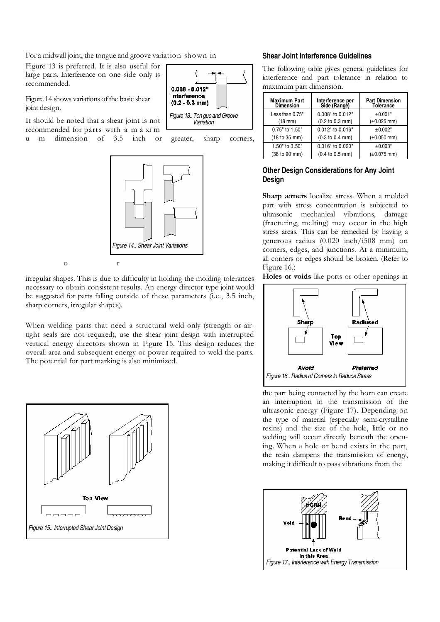For a midwall joint, the tongue and groove variation shown in

Figure 13 is preferred. It is also useful for large parts. Interference on one side only is recommended.

Figure 14 shows variations of the basic shear joint design.

It should be noted that a shear joint is not recommended for parts with a m a xi m u m dimension of 3.5 inch or greater, sharp corners,





irregular shapes. This is due to difficulty in holding the molding tolerances necessary to obtain consistent results. An energy director type joint would be suggested for parts falling outside of these parameters (i.e., 3.5 inch, sharp corners, irregular shapes).

When welding parts that need a structural weld only (strength or airtight seals are not required), use the shear joint design with interrupted vertical energy directors shown in Figure 15. This design reduces the overall area and subsequent energy or power required to weld the parts. The potential for part marking is also minimized.



#### **Shear Joint Interference Guidelines**

The following table gives general guidelines for interference and part tolerance in relation to maximum part dimension.

| <b>Maximum Part</b><br><b>Dimension</b> | Interference per<br>Side (Range) | <b>Part Dimension</b><br><b>Tolerance</b> |
|-----------------------------------------|----------------------------------|-------------------------------------------|
| Less than 0.75"                         | 0.008" to 0.012"                 | ±0.001"                                   |
| $(18 \text{ mm})$                       | (0.2 to 0.3 mm)                  | $(\pm 0.025 \text{ mm})$                  |
| 0.75" to 1.50"                          | 0.012" to 0.016"                 | ±0.002"                                   |
| (18 to 35 mm)                           | (0.3 to 0.4 mm)                  | $(\pm 0.050$ mm)                          |
| 1.50" to 3.50"                          | 0.016" to 0.020"                 | ±0.003"                                   |
| (38 to 90 mm)                           | (0.4 to 0.5 mm)                  | $(\pm 0.075$ mm)                          |

#### **Other Design Considerations for Any Joint Design**

Sharp ærners localize stress. When a molded part with stress concentration is subjected to ultrasonic mechanical vibrations, damage (fracturing, melting) may occur in the high stress areas. This can be remedied by having a generous radius (0.020 inch/i508 mm) on corners, edges, and junctions. At a minimum, all corners or edges should be broken. (Refer to Figure 16.)

Holes or voids like ports or other openings in



the part being contacted by the horn can create an interruption in the transmission of the ultrasonic energy (Figure 17). Depending on the type of material (especially semi-crystalline resins) and the size of the hole, little or no welding will occur directly beneath the opening. When a hole or bend exists in the part, the resin dampens the transmission of energy, making it difficult to pass vibrations from the